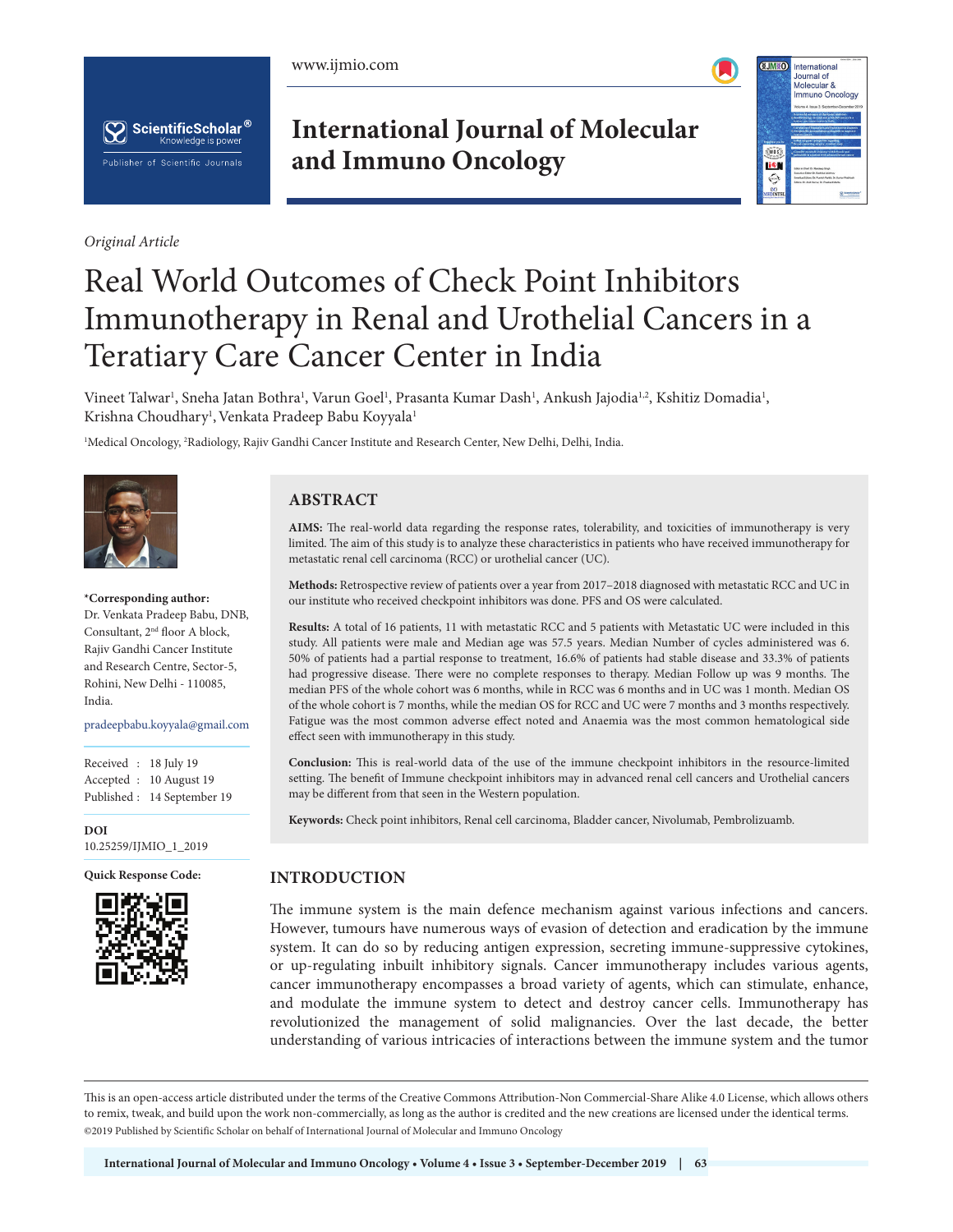





*Original Article*

**International Journal of Molecular and Immuno Oncology**



# Real World Outcomes of Check Point Inhibitors Immunotherapy in Renal and Urothelial Cancers in a Teratiary Care Cancer Center in India

Vineet Talwar<sup>ı</sup>, Sneha Jatan Bothra<sup>ı</sup>, Varun Goel<sup>ı</sup>, Prasanta Kumar Dash<sup>ı</sup>, Ankush Jajodia<sup>1,2</sup>, Kshitiz Domadia<sup>ı</sup>, Krishna Choudhary<sup>1</sup>, Venkata Pradeep Babu Koyyala<sup>1</sup>

1 Medical Oncology, 2 Radiology, Rajiv Gandhi Cancer Institute and Research Center, New Delhi, Delhi, India.



**\*Corresponding author:**

Dr. Venkata Pradeep Babu, DNB, Consultant, 2nd floor A block, Rajiv Gandhi Cancer Institute and Research Centre, Sector-5, Rohini, New Delhi - 110085, India. muia.

pradeepbabu.koyyala@gmail.com

Received : 18 July 19 Accepted : 10 August 19 Published : 14 September 19

**DOI** 10.25259/IJMIO\_1\_2019



## **ABSTRACT**

**AIMS:** The real-world data regarding the response rates, tolerability, and toxicities of immunotherapy is very limited. The aim of this study is to analyze these characteristics in patients who have received immunotherapy for metastatic renal cell carcinoma (RCC) or urothelial cancer (UC).

**Methods:** Retrospective review of patients over a year from 2017–2018 diagnosed with metastatic RCC and UC in our institute who received checkpoint inhibitors was done. PFS and OS were calculated.

**Results:** A total of 16 patients, 11 with metastatic RCC and 5 patients with Metastatic UC were included in this study. All patients were male and Median age was 57.5 years. Median Number of cycles administered was 6. 50% of patients had a partial response to treatment, 16.6% of patients had stable disease and 33.3% of patients had progressive disease. There were no complete responses to therapy. Median Follow up was 9 months. The median PFS of the whole cohort was 6 months, while in RCC was 6 months and in UC was 1 month. Median OS of the whole cohort is 7 months, while the median OS for RCC and UC were 7 months and 3 months respectively. Fatigue was the most common adverse effect noted and Anaemia was the most common hematological side effect seen with immunotherapy in this study.

**Conclusion:** This is real-world data of the use of the immune checkpoint inhibitors in the resource-limited setting. The benefit of Immune checkpoint inhibitors may in advanced renal cell cancers and Urothelial cancers may be different from that seen in the Western population.

**Keywords:** Check point inhibitors, Renal cell carcinoma, Bladder cancer, Nivolumab, Pembrolizuamb.

#### **Quick Response Code: INTRODUCTION**

The immune system is the main defence mechanism against various infections and cancers. However, tumours have numerous ways of evasion of detection and eradication by the immune system. It can do so by reducing antigen expression, secreting immune-suppressive cytokines, or up-regulating inbuilt inhibitory signals. Cancer immunotherapy includes various agents, cancer immunotherapy encompasses a broad variety of agents, which can stimulate, enhance, and modulate the immune system to detect and destroy cancer cells. Immunotherapy has revolutionized the management of solid malignancies. Over the last decade, the better understanding of various intricacies of interactions between the immune system and the tumor

This is an open-access article distributed under the terms of the Creative Commons Attribution-Non Commercial-Share Alike 4.0 License, which allows others to remix, tweak, and build upon the work non-commercially, as long as the author is credited and the new creations are licensed under the identical terms. @2019 Published by Scientific Scholar on behalf of International Journal of Molecular and Immuno Oncology  $\mathcal{L}$  Published by Scientific Scholar on behalf on behalf of  $\mathcal{L}$  and  $\mathcal{L}$  immuno Oncology Oncology Oncology Oncology Oncology Oncology Oncology Oncology Oncology Oncology Oncology Oncology Oncology Oncology On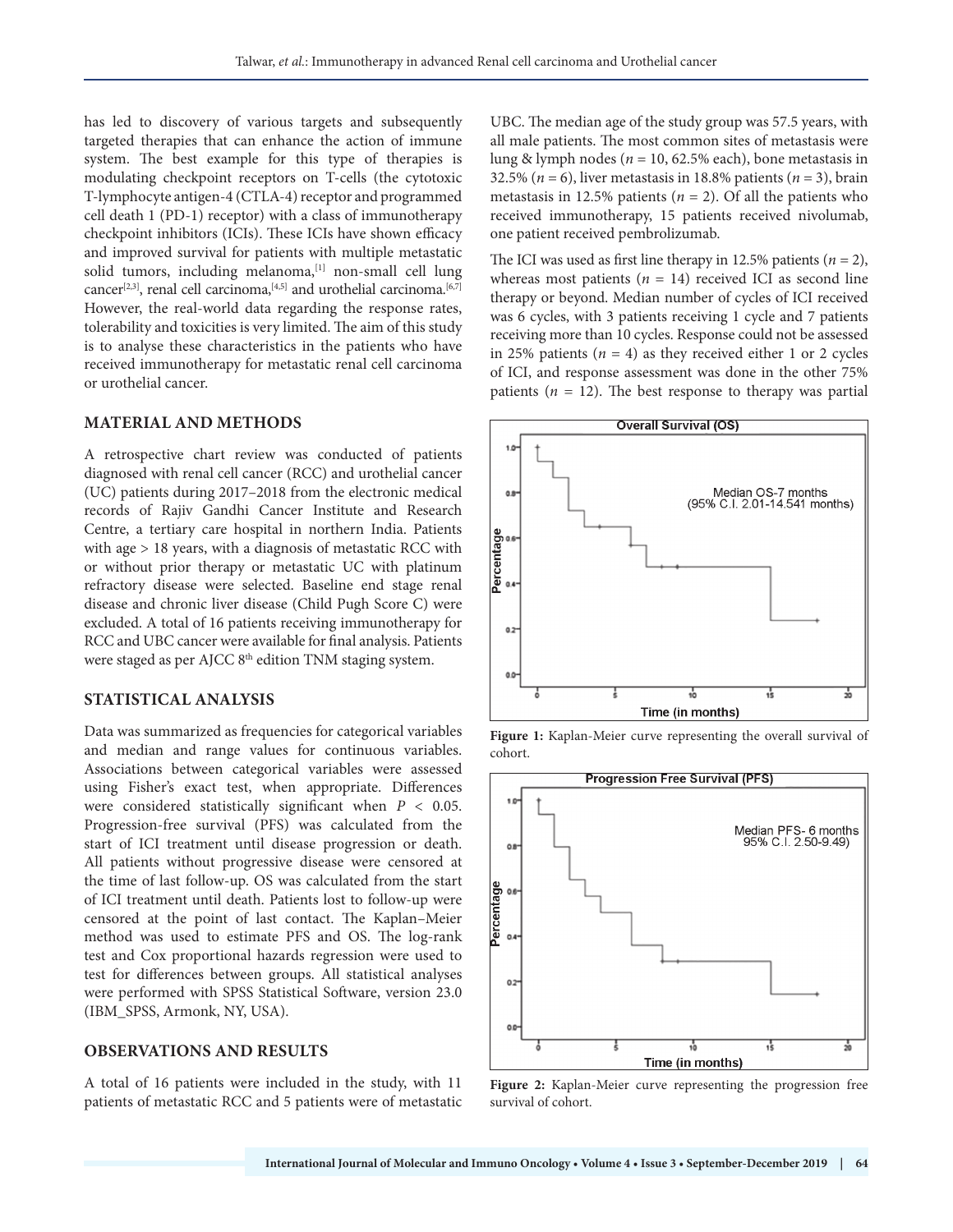has led to discovery of various targets and subsequently targeted therapies that can enhance the action of immune system. The best example for this type of therapies is modulating checkpoint receptors on T-cells (the cytotoxic T-lymphocyte antigen-4 (CTLA-4) receptor and programmed cell death 1 (PD-1) receptor) with a class of immunotherapy checkpoint inhibitors (ICIs). These ICIs have shown efficacy and improved survival for patients with multiple metastatic solid tumors, including melanoma, [1] non-small cell lung cancer<sup>[2,3]</sup>, renal cell carcinoma,<sup>[4,5]</sup> and urothelial carcinoma.<sup>[6,7]</sup> However, the real-world data regarding the response rates, tolerability and toxicities is very limited. The aim of this study is to analyse these characteristics in the patients who have received immunotherapy for metastatic renal cell carcinoma or urothelial cancer.

#### **MATERIAL AND METHODS**

A retrospective chart review was conducted of patients diagnosed with renal cell cancer (RCC) and urothelial cancer (UC) patients during 2017–2018 from the electronic medical records of Rajiv Gandhi Cancer Institute and Research Centre, a tertiary care hospital in northern India. Patients with age > 18 years, with a diagnosis of metastatic RCC with or without prior therapy or metastatic UC with platinum refractory disease were selected. Baseline end stage renal disease and chronic liver disease (Child Pugh Score C) were excluded. A total of 16 patients receiving immunotherapy for RCC and UBC cancer were available for final analysis. Patients were staged as per AJCC 8<sup>th</sup> edition TNM staging system.

## **STATISTICAL ANALYSIS**

Data was summarized as frequencies for categorical variables and median and range values for continuous variables. Associations between categorical variables were assessed using Fisher's exact test, when appropriate. Differences were considered statistically significant when  $P < 0.05$ . Progression-free survival (PFS) was calculated from the start of ICI treatment until disease progression or death. All patients without progressive disease were censored at the time of last follow-up. OS was calculated from the start of ICI treatment until death. Patients lost to follow-up were censored at the point of last contact. The Kaplan–Meier method was used to estimate PFS and OS. The log-rank test and Cox proportional hazards regression were used to test for differences between groups. All statistical analyses were performed with SPSS Statistical Software, version 23.0 (IBM\_SPSS, Armonk, NY, USA).

### **OBSERVATIONS AND RESULTS**

A total of 16 patients were included in the study, with 11 patients of metastatic RCC and 5 patients were of metastatic UBC. The median age of the study group was 57.5 years, with all male patients. The most common sites of metastasis were lung & lymph nodes (*n* = 10, 62.5% each), bone metastasis in 32.5% ( $n = 6$ ), liver metastasis in 18.8% patients ( $n = 3$ ), brain metastasis in 12.5% patients  $(n = 2)$ . Of all the patients who received immunotherapy, 15 patients received nivolumab, one patient received pembrolizumab.

The ICI was used as first line therapy in 12.5% patients  $(n = 2)$ , whereas most patients ( $n = 14$ ) received ICI as second line therapy or beyond. Median number of cycles of ICI received was 6 cycles, with 3 patients receiving 1 cycle and 7 patients receiving more than 10 cycles. Response could not be assessed in 25% patients  $(n = 4)$  as they received either 1 or 2 cycles of ICI, and response assessment was done in the other 75% patients  $(n = 12)$ . The best response to therapy was partial



**Figure 1:** Kaplan-Meier curve representing the overall survival of cohort.



**Figure 2:** Kaplan-Meier curve representing the progression free survival of cohort.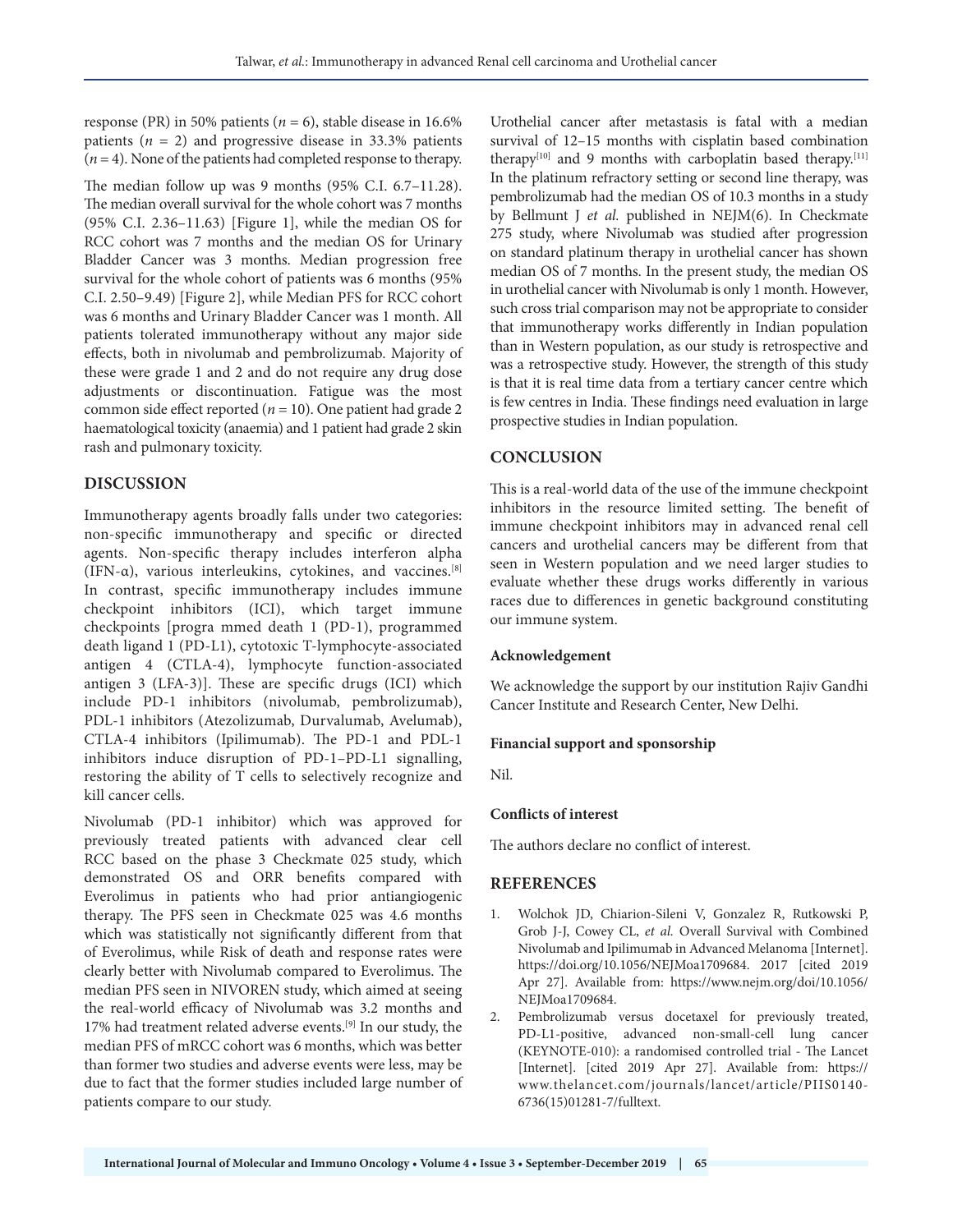response (PR) in 50% patients ( $n = 6$ ), stable disease in 16.6% patients  $(n = 2)$  and progressive disease in 33.3% patients  $(n = 4)$ . None of the patients had completed response to therapy.

The median follow up was 9 months (95% C.I. 6.7–11.28). The median overall survival for the whole cohort was 7 months (95% C.I. 2.36–11.63) [Figure 1], while the median OS for RCC cohort was 7 months and the median OS for Urinary Bladder Cancer was 3 months. Median progression free survival for the whole cohort of patients was 6 months (95% C.I. 2.50–9.49) [Figure 2], while Median PFS for RCC cohort was 6 months and Urinary Bladder Cancer was 1 month. All patients tolerated immunotherapy without any major side effects, both in nivolumab and pembrolizumab. Majority of these were grade 1 and 2 and do not require any drug dose adjustments or discontinuation. Fatigue was the most common side effect reported ( $n = 10$ ). One patient had grade 2 haematological toxicity (anaemia) and 1 patient had grade 2 skin rash and pulmonary toxicity.

## **DISCUSSION**

Immunotherapy agents broadly falls under two categories: non-specific immunotherapy and specific or directed agents. Non-specific therapy includes interferon alpha (IFN-α), various interleukins, cytokines, and vaccines.[8] In contrast, specific immunotherapy includes immune checkpoint inhibitors (ICI), which target immune checkpoints [progra mmed death 1 (PD-1), programmed death ligand 1 (PD-L1), cytotoxic T-lymphocyte-associated antigen 4 (CTLA-4), lymphocyte function-associated antigen 3 (LFA-3)]. These are specific drugs (ICI) which include PD-1 inhibitors (nivolumab, pembrolizumab), PDL-1 inhibitors (Atezolizumab, Durvalumab, Avelumab), CTLA-4 inhibitors (Ipilimumab). The PD-1 and PDL-1 inhibitors induce disruption of PD-1–PD-L1 signalling, restoring the ability of T cells to selectively recognize and kill cancer cells.

Nivolumab (PD-1 inhibitor) which was approved for previously treated patients with advanced clear cell RCC based on the phase 3 Checkmate 025 study, which demonstrated OS and ORR benefits compared with Everolimus in patients who had prior antiangiogenic therapy. The PFS seen in Checkmate 025 was 4.6 months which was statistically not significantly different from that of Everolimus, while Risk of death and response rates were clearly better with Nivolumab compared to Everolimus. The median PFS seen in NIVOREN study, which aimed at seeing the real-world efficacy of Nivolumab was 3.2 months and 17% had treatment related adverse events.[9] In our study, the median PFS of mRCC cohort was 6 months, which was better than former two studies and adverse events were less, may be due to fact that the former studies included large number of patients compare to our study.

Urothelial cancer after metastasis is fatal with a median survival of 12–15 months with cisplatin based combination therapy<sup>[10]</sup> and 9 months with carboplatin based therapy.<sup>[11]</sup> In the platinum refractory setting or second line therapy, was pembrolizumab had the median OS of 10.3 months in a study by Bellmunt J *et al.* published in NEJM(6). In Checkmate 275 study, where Nivolumab was studied after progression on standard platinum therapy in urothelial cancer has shown median OS of 7 months. In the present study, the median OS in urothelial cancer with Nivolumab is only 1 month. However, such cross trial comparison may not be appropriate to consider that immunotherapy works differently in Indian population than in Western population, as our study is retrospective and was a retrospective study. However, the strength of this study is that it is real time data from a tertiary cancer centre which is few centres in India. These findings need evaluation in large prospective studies in Indian population.

## **CONCLUSION**

This is a real-world data of the use of the immune checkpoint inhibitors in the resource limited setting. The benefit of immune checkpoint inhibitors may in advanced renal cell cancers and urothelial cancers may be different from that seen in Western population and we need larger studies to evaluate whether these drugs works differently in various races due to differences in genetic background constituting our immune system.

#### **Acknowledgement**

We acknowledge the support by our institution Rajiv Gandhi Cancer Institute and Research Center, New Delhi.

#### **Financial support and sponsorship**

Nil.

#### **Conflicts of interest**

The authors declare no conflict of interest.

#### **REFERENCES**

- 1. Wolchok JD, Chiarion-Sileni V, Gonzalez R, Rutkowski P, Grob J-J, Cowey CL, *et al.* Overall Survival with Combined Nivolumab and Ipilimumab in Advanced Melanoma [Internet]. https://doi.org/10.1056/NEJMoa1709684. 2017 [cited 2019 Apr 27]. Available from: https://www.nejm.org/doi/10.1056/ NEJMoa1709684.
- 2. Pembrolizumab versus docetaxel for previously treated, PD-L1-positive, advanced non-small-cell lung cancer (KEYNOTE-010): a randomised controlled trial - The Lancet [Internet]. [cited 2019 Apr 27]. Available from: https:// www.thelancet.com/journals/lancet/article/PIIS0140- 6736(15)01281-7/fulltext.